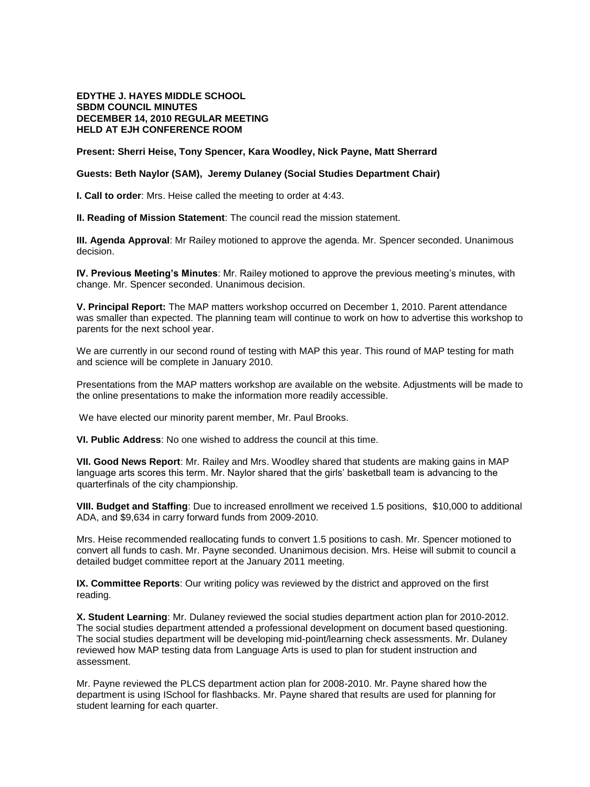## **EDYTHE J. HAYES MIDDLE SCHOOL SBDM COUNCIL MINUTES DECEMBER 14, 2010 REGULAR MEETING HELD AT EJH CONFERENCE ROOM**

**Present: Sherri Heise, Tony Spencer, Kara Woodley, Nick Payne, Matt Sherrard** 

## **Guests: Beth Naylor (SAM), Jeremy Dulaney (Social Studies Department Chair)**

**I. Call to order**: Mrs. Heise called the meeting to order at 4:43.

**II. Reading of Mission Statement**: The council read the mission statement.

**III. Agenda Approval**: Mr Railey motioned to approve the agenda. Mr. Spencer seconded. Unanimous decision.

**IV. Previous Meeting's Minutes**: Mr. Railey motioned to approve the previous meeting's minutes, with change. Mr. Spencer seconded. Unanimous decision.

**V. Principal Report:** The MAP matters workshop occurred on December 1, 2010. Parent attendance was smaller than expected. The planning team will continue to work on how to advertise this workshop to parents for the next school year.

We are currently in our second round of testing with MAP this year. This round of MAP testing for math and science will be complete in January 2010.

Presentations from the MAP matters workshop are available on the website. Adjustments will be made to the online presentations to make the information more readily accessible.

We have elected our minority parent member, Mr. Paul Brooks.

**VI. Public Address**: No one wished to address the council at this time.

**VII. Good News Report**: Mr. Railey and Mrs. Woodley shared that students are making gains in MAP language arts scores this term. Mr. Naylor shared that the girls' basketball team is advancing to the quarterfinals of the city championship.

**VIII. Budget and Staffing**: Due to increased enrollment we received 1.5 positions, \$10,000 to additional ADA, and \$9,634 in carry forward funds from 2009-2010.

Mrs. Heise recommended reallocating funds to convert 1.5 positions to cash. Mr. Spencer motioned to convert all funds to cash. Mr. Payne seconded. Unanimous decision. Mrs. Heise will submit to council a detailed budget committee report at the January 2011 meeting.

**IX. Committee Reports**: Our writing policy was reviewed by the district and approved on the first reading.

**X. Student Learning**: Mr. Dulaney reviewed the social studies department action plan for 2010-2012. The social studies department attended a professional development on document based questioning. The social studies department will be developing mid-point/learning check assessments. Mr. Dulaney reviewed how MAP testing data from Language Arts is used to plan for student instruction and assessment.

Mr. Payne reviewed the PLCS department action plan for 2008-2010. Mr. Payne shared how the department is using ISchool for flashbacks. Mr. Payne shared that results are used for planning for student learning for each quarter.